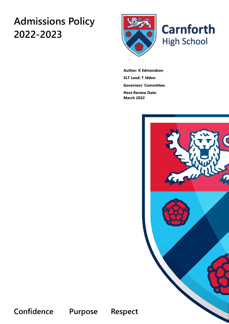# **Admissions Policy 2022-2023**





**Author: K Edmondson SLT Lead: T Iddon Governors' Committee:**

**Next Review Date: March 2022**



**Confidence Purpose Respect**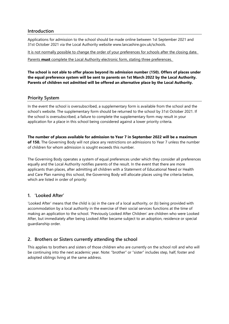#### **Introduction**

Applications for admission to the school should be made online between 1st September 2021 and 31st October 2021 via the Local Authority website www.lancashire.gov.uk/schools.

It is not normally possible to change the order of your preferences for schools after the closing date.

Parents **must** complete the Local Authority electronic form, stating three preferences.

**The school is not able to offer places beyond its admission number (150). Offers of places under the equal preference system will be sent to parents on 1st March 2022 by the Local Authority. Parents of children not admitted will be offered an alternative place by the Local Authority.** 

#### **Priority System**

In the event the school is oversubscribed, a supplementary form is available from the school and the school's website. The supplementary form should be returned to the school by 31st October 2021. If the school is oversubscribed, a failure to complete the supplementary form may result in your application for a place in this school being considered against a lower priority criteria.

**The number of places available for admission to Year 7 in September 2022 will be a maximum of 150.** The Governing Body will not place any restrictions on admissions to Year 7 unless the number of children for whom admission is sought exceeds this number.

The Governing Body operates a system of equal preferences under which they consider all preferences equally and the Local Authority notifies parents of the result. In the event that there are more applicants than places, after admitting all children with a Statement of Educational Need or Health and Care Plan naming this school, the Governing Body will allocate places using the criteria below, which are listed in order of priority:

#### **1. 'Looked After'**

'Looked After' means that the child is (a) in the care of a local authority, or (b) being provided with accommodation by a local authority in the exercise of their social services functions at the time of making an application to the school. 'Previously Looked After Children' are children who were Looked After, but immediately after being Looked After became subject to an adoption, residence or special guardianship order.

# **2. Brothers or Sisters currently attending the school**

This applies to brothers and sisters of those children who are currently on the school roll and who will be continuing into the next academic year. Note: "brother" or "sister" includes step, half, foster and adopted siblings living at the same address.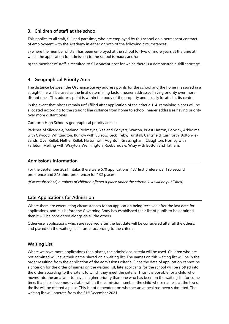# **3. Children of staff at the school**

This applies to all staff, full and part time, who are employed by this school on a permanent contract of employment with the Academy in either or both of the following circumstances:

a) where the member of staff has been employed at the school for two or more years at the time at which the application for admission to the school is made, and/or

b) the member of staff is recruited to fill a vacant post for which there is a demonstrable skill shortage.

#### **4. Geographical Priority Area**

The distance between the Ordnance Survey address points for the school and the home measured in a straight line will be used as the final determining factor, nearer addresses having priority over more distant ones. This address point is within the body of the property and usually located at its centre.

In the event that places remain unfulfilled after application of the criteria 1-4remaining places will be allocated according to the straight line distance from home to school, nearer addresses having priority over more distant ones.

Carnforth High School's geographical priority area is:

Parishes of Silverdale, Yealand Redmayne, Yealand Conyers, Warton, Priest Hutton, Borwick, Arkholme with Cawood, Whittington, Burrow with Burrow, Leck, Ireby, Tunstall, Cantsfield, Carnforth, Bolton-le-Sands, Over Kellet, Nether Kellet, Halton with Aughton, Gressingham, Claughton, Hornby with Farleton, Melling with Wrayton, Wennington, Roeburndale, Wray with Botton and Tatham.

#### **Admissions Information**

For the September 2021 intake, there were 570 applications (137 first preference, 190 second preference and 243 third preference) for 132 places.

*(If oversubscribed, numbers of children offered a place under the criteria 1-4 will be published)*

#### **Late Applications for Admission**

Where there are extenuating circumstances for an application being received after the last date for applications, and it is before the Governing Body has established their list of pupils to be admitted, then it will be considered alongside all the others.

Otherwise, applications which are received after the last date will be considered after all the others, and placed on the waiting list in order according to the criteria.

#### **Waiting List**

Where we have more applications than places, the admissions criteria will be used. Children who are not admitted will have their name placed on a waiting list. The names on this waiting list will be in the order resulting from the application of the admissions criteria. Since the date of application cannot be a criterion for the order of names on the waiting list, late applicants for the school will be slotted into the order according to the extent to which they meet the criteria. Thus it is possible for a child who moves into the area later to have a higher priority than one who has been on the waiting list for some time. If a place becomes available within the admission number, the child whose name is at the top of the list will be offered a place. This is not dependent on whether an appeal has been submitted. The waiting list will operate from the 31<sup>st</sup> December 2021.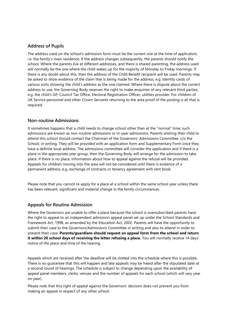#### **Address of Pupils**

The address used on the school's admission form must be the current one at the time of application, i.e. the family's main residence. If the address changes subsequently, the parents should notify the school. Where the parents live at different addresses, and there is shared parenting, the address used will normally be the one where the child wakes up for the majority of Monday to Friday mornings. If there is any doubt about this, then the address of the Child Benefit recipient will be used. Parents may be asked to show evidence of the claim that is being made for the address, e.g. identity cards of various sorts showing the child's address as the one claimed. Where there is dispute about the correct address to use, the Governing Body reserves the right to make enquiries of any relevant third parties, e.g. the child's GP, Council Tax Office, Electoral Registration Officer, utilities provider. For children of UK Service personnel and other Crown Servants returning to the area proof of the posting is all that is required.

#### **Non-routine Admissions**

It sometimes happens that a child needs to change school other than at the "normal" time; such admissions are known as non-routine admissions or in-year admissions. Parents wishing their child to attend this school should contact the Chairman of the Governors' Admissions Committee, c/o the School, in writing. They will be provided with an application form and Supplementary Form once they have a definite local address. The admissions committee will consider the application and if there is a place in the appropriate year group, then the Governing Body will arrange for the admission to take place. If there is no place, information about how to appeal against the refusal will be provided. Appeals for children moving into the area will not be considered until there is evidence of a permanent address, e.g. exchange of contracts or tenancy agreement with rent book.

Please note that you cannot re-apply for a place at a school within the same school year unless there has been relevant, significant and material change in the family circumstances.

#### **Appeals for Routine Admission**

Where the Governors are unable to offer a place because the school is oversubscribed parents have the right to appeal to an independent admission appeal panel set up under the School Standards and Framework Act, 1998, as amended by the Education Act, 2002. Parents will have the opportunity to submit their case to the Governors/Admissions Committee in writing and also to attend in order to present their case. **Parents/guardians should request an appeal form from the school and return it within 20 school days of receiving the letter refusing a place.** You will normally receive 14 days' notice of the place and time of the hearing.

Appeals which are received after the deadline will be slotted into the schedule where this is possible. There is no guarantee that this will happen and late appeals may be heard after the stipulated date at a second round of hearings. The schedule is subject to change depending upon the availability of appeal panel members, clerks, venues and the number of appeals for each school (which will vary year on year).

Please note that this right of appeal against the Governors' decision does not prevent you from making an appeal in respect of any other school.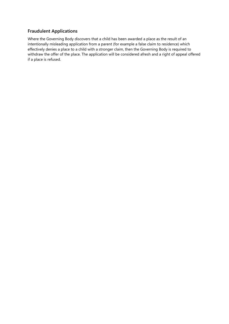## **Fraudulent Applications**

Where the Governing Body discovers that a child has been awarded a place as the result of an intentionally misleading application from a parent (for example a false claim to residence) which effectively denies a place to a child with a stronger claim, then the Governing Body is required to withdraw the offer of the place. The application will be considered afresh and a right of appeal offered if a place is refused.